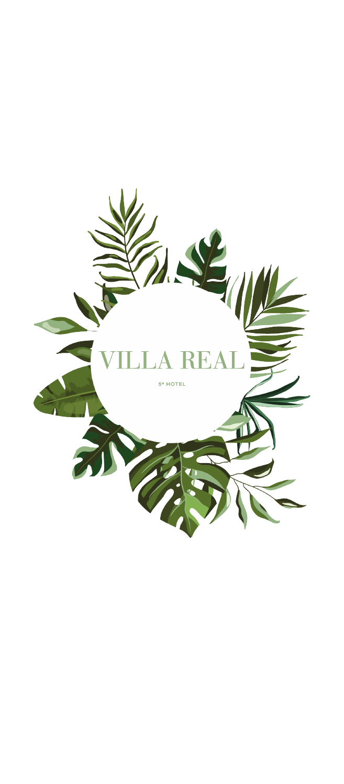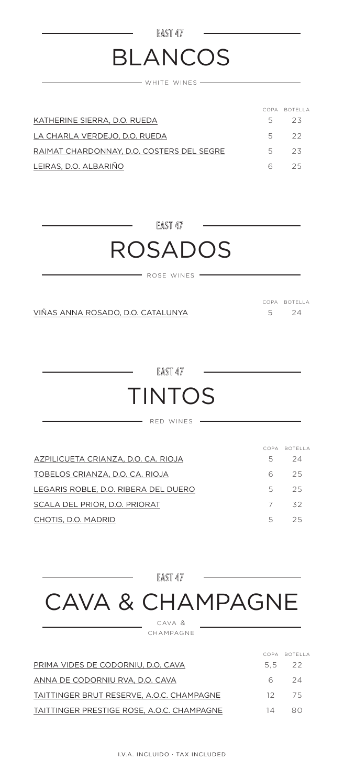# BLANCOS

EAST 47

WHITE WINES

|                                           |       | COPA BOTELLA |
|-------------------------------------------|-------|--------------|
| KATHERINE SIERRA, D.O. RUEDA              | $5 -$ | 23           |
| LA CHARLA VERDEJO, D.O. RUEDA             |       | 5 22         |
| RAIMAT CHARDONNAY, D.O. COSTERS DEL SEGRE | .5.   | - 23         |
| LEIRAS, D.O. ALBARIÑO                     | 6.    | クら           |

EAST 47

### ROSADOS

 $-$  rose wines  $-$ 

VIÑAS ANNA ROSADO, D.O. CATALUNYA

24 COPA BOTELLA 5

EAST 47

### TINTOS

- RED WINES  $-$ 

|                                      |    | COPA BOTELLA |
|--------------------------------------|----|--------------|
| AZPILICUETA CRIANZA, D.O. CA. RIOJA  | 5. | 24           |
| TOBELOS CRIANZA, D.O. CA, RIOJA      | 6. | 25.          |
| LEGARIS ROBLE, D.O. RIBERA DEL DUERO | 5. | 25.          |
| SCALA DEL PRIOR, D.O. PRIORAT        | 7  | 32           |
| CHOTIS, D.O. MADRID                  | 5. | 25           |

EAST 47 CAVA & CHAMPAGNE cava &

champagne

PRIMA VIDES DE CODORNIU, D.O. CAVA TAITTINGER BRUT RESERVE, A.O.C. CHAMPAGNE ANNA DE CODORNIU RVA, D.O. CAVA TAITTINGER PRESTIGE ROSE, A.O.C. CHAMPAGNE 22 75 24 80 COPA BOTELLA 5,5 12 6 14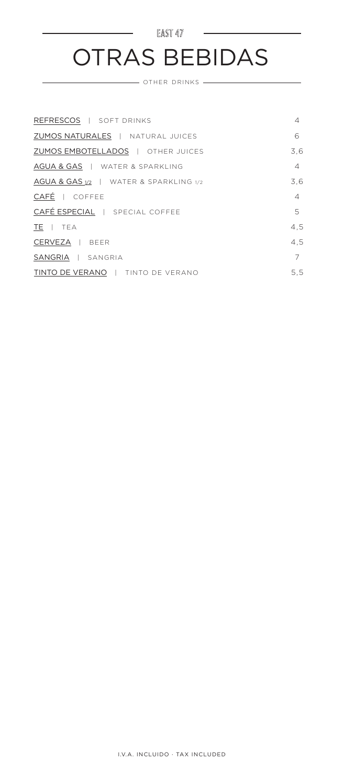#### $EAST 47$ OTRAS BEBIDAS

OTHER DRINKS

| REFRESCOS   SOFT DRINKS                | 4              |
|----------------------------------------|----------------|
| ZUMOS NATURALES   NATURAL JUICES       | 6              |
| ZUMOS EMBOTELLADOS   OTHER JUICES      | 3.6            |
| AGUA & GAS   WATER & SPARKLING         | $\overline{4}$ |
| AGUA & GAS 1/2   WATER & SPARKLING 1/2 | 3.6            |
| CAFÉ   COFFEE                          | $\overline{4}$ |
| CAFÉ ESPECIAL   SPECIAL COFFEE         | 5              |
| TE   TEA                               | 4,5            |
| CERVEZA   BEER                         | 4.5            |
| SANGRIA   SANGRIA                      | 7              |
| TINTO DE VERANO   TINTO DE VERANO      | 5.5            |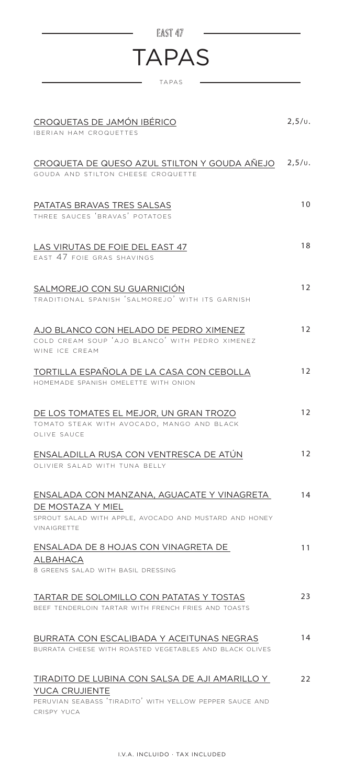| EAST <sub>47</sub>                                                                                                                                 |            |
|----------------------------------------------------------------------------------------------------------------------------------------------------|------------|
| <b>TAPAS</b>                                                                                                                                       |            |
| <b>TAPAS</b>                                                                                                                                       |            |
| CROQUETAS DE JAMÓN IBÉRICO<br><b>IBERIAN HAM CROQUETTES</b>                                                                                        | $2,5/\nu.$ |
| CROQUETA DE QUESO AZUL STILTON Y GOUDA AÑEJO 2,5/v.<br>GOUDA AND STILTON CHEESE CROQUETTE                                                          |            |
| PATATAS BRAVAS TRES SALSAS<br>THREE SAUCES 'BRAVAS' POTATOES                                                                                       | 10         |
| LAS VIRUTAS DE FOIE DEL EAST 47<br>FAST 47 FOIF GRAS SHAVINGS                                                                                      | 18         |
| SALMOREJO CON SU GUARNICIÓN<br>TRADITIONAL SPANISH 'SALMOREJO' WITH ITS GARNISH                                                                    | 12         |
| AJO BLANCO CON HELADO DE PEDRO XIMENEZ<br>COLD CREAM SOUP 'AJO BLANCO' WITH PEDRO XIMENEZ<br>WINE ICE CREAM                                        | 12         |
| TORTILLA ESPAÑOLA DE LA CASA CON CEBOLLA<br>HOMEMADE SPANISH OMELETTE WITH ONION                                                                   | 12         |
| DE LOS TOMATES EL MEJOR, UN GRAN TROZO<br>TOMATO STEAK WITH AVOCADO, MANGO AND BLACK<br>OLIVE SAUCE                                                | 12         |
| ENSALADILLA RUSA CON VENTRESCA DE ATÚN<br>OLIVIER SALAD WITH TUNA BELLY                                                                            | 12         |
| ENSALADA CON MANZANA, AGUACATE Y VINAGRETA<br>DE MOSTAZA Y MIEL<br>SPROUT SALAD WITH APPLE, AVOCADO AND MUSTARD AND HONEY<br><b>VINAIGRETTE</b>    | 14         |
| ENSALADA DE 8 HOJAS CON VINAGRETA DE<br>ALBAHACA<br>8 GREENS SALAD WITH BASIL DRESSING                                                             | 11         |
| TARTAR DE SOLOMILLO CON PATATAS Y TOSTAS<br>BEEF TENDERLOIN TARTAR WITH FRENCH FRIES AND TOASTS                                                    | 23         |
| BURRATA CON ESCALIBADA Y ACEITUNAS NEGRAS<br>BURRATA CHEESE WITH ROASTED VEGETABLES AND BLACK OLIVES                                               | 14         |
| TIRADITO DE LUBINA CON SALSA DE AJI AMARILLO Y<br><b>YUCA CRUJIENTE</b><br>PERUVIAN SEABASS 'TIRADITO' WITH YELLOW PEPPER SAUCE AND<br>CRISPY YUCA | 22         |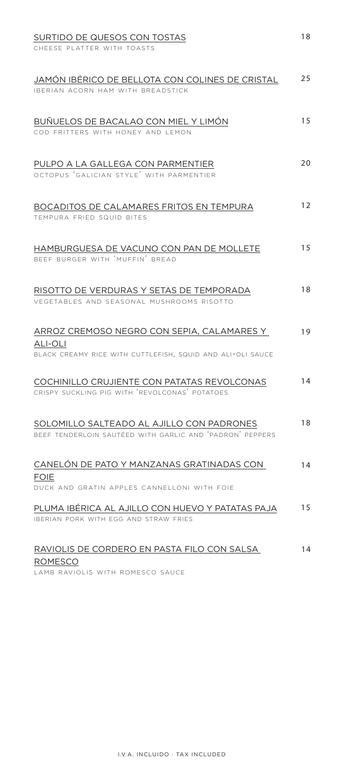| SURTIDO DE QUESOS CON TOSTAS                                                                                        | 18 |
|---------------------------------------------------------------------------------------------------------------------|----|
| CHEESE PLATTER WITH TOASTS                                                                                          |    |
| JAMÓN IBÉRICO DE BELLOTA CON COLINES DE CRISTAL<br>IBERIAN ACORN HAM WITH BREADSTICK                                | 25 |
| BUÑUELOS DE BACALAO CON MIEL Y LIMÓN<br>COD FRITTERS WITH HONEY AND LEMON                                           | 15 |
| PULPO A LA GALLEGA CON PARMENTIER<br>OCTOPUS 'GALICIAN STYLE' WITH PARMENTIER                                       | 20 |
| BOCADITOS DE CALAMARES FRITOS EN TEMPURA<br>TEMPURA FRIED SQUID BITES                                               | 12 |
| HAMBURGUESA DE VACUNO CON PAN DE MOLLETE<br>BEEE BURGER WITH 'MUEEIN' BREAD                                         | 15 |
| RISOTTO DE VERDURAS Y SETAS DE TEMPORADA<br>VEGETABLES AND SEASONAL MUSHROOMS RISOTTO                               | 18 |
| ARROZ CREMOSO NEGRO CON SEPIA, CALAMARES Y<br>ALI-OLI<br>BLACK CREAMY RICE WITH CUTTLEFISH, SQUID AND ALI-OLI SAUCE | 19 |
| COCHINILLO CRUJIENTE CON PATATAS REVOLCONAS<br>CRISPY SUCKLING PIG WITH 'REVOLCONAS' POTATOES                       | 14 |
| SOLOMILLO SALTEADO AL AJILLO CON PADRONES<br>BEEF TENDERLOIN SAUTÉED WITH GARLIC AND 'PADRON' PEPPERS               | 18 |
| CANELÓN DE PATO Y MANZANAS GRATINADAS CON<br><b>FOIE</b><br>DUCK AND GRATIN APPLES CANNELLONI WITH FOIE             | 14 |
| PLUMA IBÉRICA AL AJILLO CON HUEVO Y PATATAS PAJA<br>IBERIAN PORK WITH EGG AND STRAW FRIES                           | 15 |
| RAVIOLIS DE CORDERO EN PASTA FILO CON SALSA<br><b>ROMESCO</b>                                                       | 14 |

LAMB RAVIOLIS WITH ROMESCO SAUCE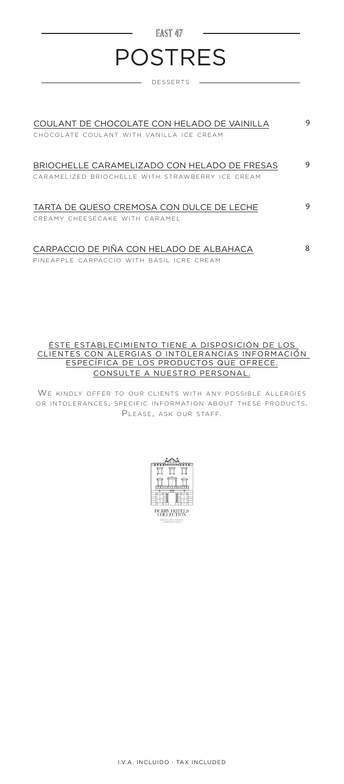#### EAST 47 -POSTRES

desserts

| COULANT DE CHOCOLATE CON HELADO DE VAINILLA<br>CHOCOLATE COULANT WITH VANILLA ICE CREAM          | 9 |
|--------------------------------------------------------------------------------------------------|---|
| BRIOCHELLE CARAMELIZADO CON HELADO DE FRESAS<br>CARAMELIZED BRIOCHELLE WITH STRAWBERRY ICE CREAM | 9 |
| TARTA DE QUESO CREMOSA CON DULCE DE LECHE<br>CREAMY CHEESECAKE WITH CARAMEL                      | 9 |
| CARPACCIO DE PIÑA CON HELADO DE ALBAHACA<br>PINFAPPLE CARPACCIO WITH BASIL ICRE CREAM            | 8 |

#### ÉSTE ESTABLECIMIENTO TIENE A DISPOSICIÓN DE LOS CLIENTES CON ALERGIAS O INTOLERANCIAS INFORMACIÓN ESPECÍFICA DE LOS PRODUCTOS QUE OFRECE. CONSULTE A NUESTRO PERSONAL.

WE KINDLY OFFER TO OUR CLIENTS WITH ANY POSSIBLE ALLERGIES OR INTOLERANCES, SPECIFIC INFORMATION ABOUT THESE PRODUCTS. PLEASE, ASK OUR STAFF.

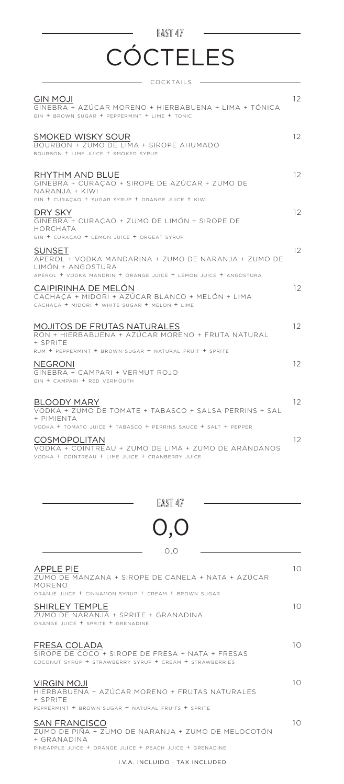### EAST 47 **CÓCTELES**

| - COCKTAILS                                                                                                                                                                                       |    |
|---------------------------------------------------------------------------------------------------------------------------------------------------------------------------------------------------|----|
| <b>GIN MOJI</b><br>GINEBRA + AZÚCAR MORENO + HIERBABUENA + LIMA + TÓNICA<br>GIN + BROWN SUGAR + PEPPERMINT + LIME + TONIC                                                                         | 12 |
| SMOKED WISKY SOUR<br>BOURBON + ZUMO DE LIMA + SIROPE AHUMADO<br>BOURBON + LIME JUICE + SMOKED SYRUP                                                                                               | 12 |
| RHYTHM AND BLUE<br>GINEBRA + CURAÇÃO + SIROPE DE AZÚCAR + ZUMO DE<br>NARANJA + KIWI<br>GIN + CURAÇÃO + SUGAR SYRUP + ORANGE JUICE + KIWI                                                          | 12 |
| DRY SKY<br>GINEBRA + CURACAO + ZUMO DE LIMÓN + SIROPE DE<br><b>HORCHATA</b><br>GIN + CURACAO + LEMON JUICE + ORGEAT SYRUP                                                                         | 12 |
| SUNSET<br>APEROL + VODKA MANDARINA + ZUMO DE NARANJA + ZUMO DE<br>LIMÓN + ANGOSTURA<br>APEROL + VODKA MANDRIN + ORANGE JUICE + LEMON JUICE + ANGOSTURA                                            | 12 |
| CAIPIRINHA DE MELÓN<br>CACHACA + MIDORI + AZÚCAR BLANCO + MELÓN + LIMA<br>CACHACA + MIDORI + WHITE SUGAR + MELON + LIME                                                                           | 12 |
| <b>MOJITOS DE FRUTAS NATURALES</b><br>RON + HIERBABUENA + AZÚCAR MORENO + FRUTA NATURAL<br>+ SPRITE<br>RUM + PEPPERMINT + BROWN SUGAR + NATURAL FRUIT + SPRITE                                    | 12 |
| NEGRONI<br>GINEBRA + CAMPARI + VERMUT ROJO<br>GIN + CAMPARI + RED VERMOUTH                                                                                                                        | 12 |
| <b>BLOODY MARY</b><br>VODKA + ZUMO DE TOMATE + TABASCO + SALSA PERRINS + SAL<br>+ PIMIFNTA                                                                                                        | 12 |
| VODKA + TOMATO JUICE + TABASCO + PERRINS SAUCE + SALT + PEPPER<br><b>COSMOPOLITAN</b><br>VODKA + COINTREAU + ZUMO DE LIMA + ZUMO DE ARÁNDANOS<br>VODKA + COINTREAU + LIME JUICE + CRANBERRY JUICE | 12 |

EAST 47

# 0,0

0,0

| APPLE PIE<br>ZUMO DE MANZANA + SIROPE DE CANELA + NATA + AZÚCAR<br>MORENO<br>ORANJE JUICE + CINNAMON SYRUP + CREAM + BROWN SUGAR                        | 10       |
|---------------------------------------------------------------------------------------------------------------------------------------------------------|----------|
| <b>SHIRLEY TEMPLE</b><br>ZUMO DE NARANJA + SPRITE + GRANADINA<br>ORANGE JUICE + SPRITE + GRENADINE                                                      | $1 \cap$ |
| FRESA COLADA<br>SIROPE DE COCO + SIROPE DE ERESA + NATA + ERESAS<br>COCONUT SYRUP + STRAWBERRY SYRUP + CREAM + STRAWBERRIES                             | 10       |
| VIRGIN MOJI<br>HIFRBABUFNA + AZÚCAR MORFNO + FRUTAS NATURALES<br>+ SPRITE<br>PEPPERMINT + BROWN SUGAR + NATURAL ERUITS + SPRITE                         | 10       |
| <b>SAN FRANCISCO</b><br>ZUMO DE PIÑA + ZUMO DE NARANJA + ZUMO DE MELOCOTÓN<br>$+$ GRANADINA<br>PINFAPPLE JUICE + ORANGE JUICE + PEACH JUICE + GRENADINE | 10       |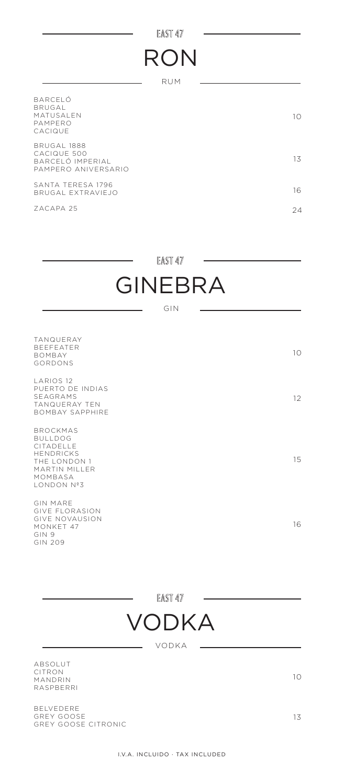#### EAST 47

L

# RON

RUM

| <b>BARCELO</b><br>BRUGAL<br><b>MATUSALEN</b><br>PAMPFRO<br>CACIQUE           | 10 |
|------------------------------------------------------------------------------|----|
| <b>BRUGAL 1888</b><br>CACIQUE 500<br>BARCELÓ IMPERIAL<br>PAMPERO ANIVERSARIO | 13 |
| SANTA TERESA 1796<br>BRUGAL EXTRAVIEJO                                       | 16 |
| 7ACAPA 25                                                                    | 24 |

EAST 47

L.

## GINEBRA

GIN

| <b>TANQUERAY</b><br><b>BEEFEATER</b><br><b>BOMBAY</b><br>GORDONS                                                                    | 10 |
|-------------------------------------------------------------------------------------------------------------------------------------|----|
| <b>LARIOS 12</b><br>PUERTO DE INDIAS<br>SFAGRAMS<br><b>TANQUERAY TEN</b><br><b>BOMBAY SAPPHIRE</b>                                  | 12 |
| <b>BROCKMAS</b><br><b>BULLDOG</b><br>CITADELLE<br><b>HENDRICKS</b><br>THE LONDON 1<br>MARTIN MILLER<br>MOMBASA<br><b>LONDON Nº3</b> | 15 |
| <b>GIN MARE</b><br><b>GIVE FLORASION</b><br><b>GIVE NOVAUSION</b><br>MONKET 47<br>GIN 9<br>GIN 209                                  | 16 |

EAST 47



VODKA

ABSOLUT  $\subset$  $\mathsf{M}$ RASPBERRI

BELVEDERE GREY G GREY GOOSE C 13

10